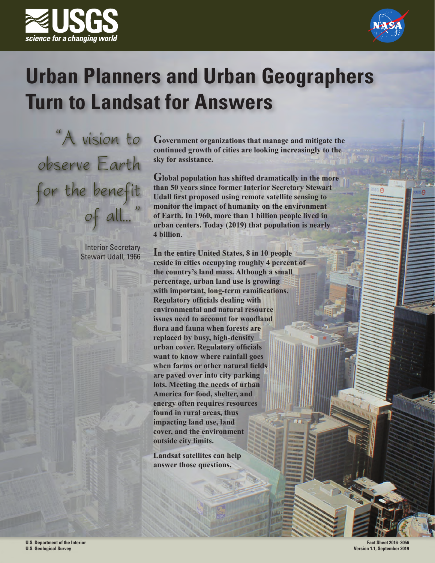



## **Urban Planners and Urban Geographers Turn to Landsat for Answers**

"A vision to observe Earth for the benefit of all..."

> Interior Secretary Stewart Udall, 1966

**Government organizations that manage and mitigate the continued growth of cities are looking increasingly to the sky for assistance.**

**Global population has shifted dramatically in the more than 50 years since former Interior Secretary Stewart Udall first proposed using remote satellite sensing to monitor the impact of humanity on the environment of Earth. In 1960, more than 1 billion people lived in urban centers. Today (2019) that population is nearly 4 billion.**

**In the entire United States, 8 in 10 people reside in cities occupying roughly 4 percent of the country's land mass. Although a small percentage, urban land use is growing with important, long-term ramifications. Regulatory officials dealing with environmental and natural resource issues need to account for woodland flora and fauna when forests are replaced by busy, high-density urban cover. Regulatory officials want to know where rainfall goes when farms or other natural fields are paved over into city parking lots. Meeting the needs of urban America for food, shelter, and energy often requires resources found in rural areas, thus impacting land use, land cover, and the environment outside city limits.**

**Landsat satellites can help answer those questions.**